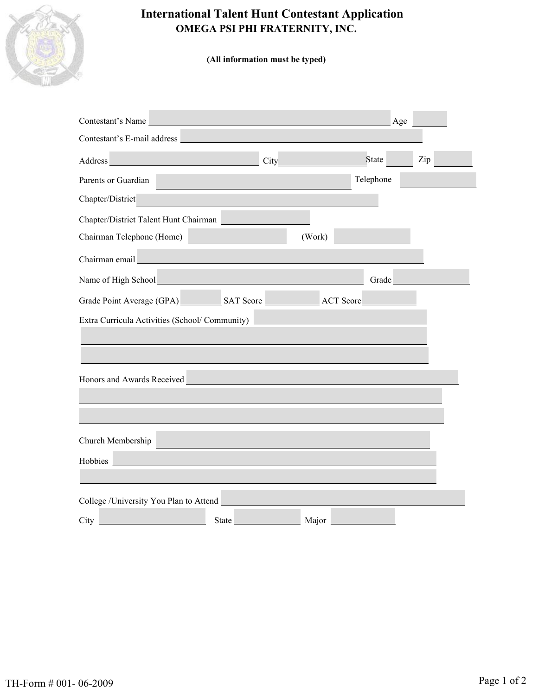

# **International Talent Hunt Contestant Application OMEGA PSI PHI FRATERNITY, INC.**

**(All information must be typed)**

| Contestant's Name                                                                                                                                                                                                                                  |  |              |            | Age       |     |  |  |
|----------------------------------------------------------------------------------------------------------------------------------------------------------------------------------------------------------------------------------------------------|--|--------------|------------|-----------|-----|--|--|
| Contestant's E-mail address                                                                                                                                                                                                                        |  |              |            |           |     |  |  |
| Address and the contract of the contract of the contract of the contract of the contract of the contract of the                                                                                                                                    |  |              | City State |           | Zip |  |  |
| Parents or Guardian                                                                                                                                                                                                                                |  |              |            | Telephone |     |  |  |
| Chapter/District                                                                                                                                                                                                                                   |  |              |            |           |     |  |  |
| Chapter/District Talent Hunt Chairman                                                                                                                                                                                                              |  |              |            |           |     |  |  |
| Chairman Telephone (Home)                                                                                                                                                                                                                          |  |              | (Work)     |           |     |  |  |
| Chairman email                                                                                                                                                                                                                                     |  |              |            |           |     |  |  |
| Name of High School<br>Manne of High School<br>Manne of High School<br>Manne of High School<br>Manne of High School<br>Manne of High School<br>Manne of High School<br>Manne of High School<br>Manne of High School<br>Manne of High School<br>Man |  |              |            | Grade     |     |  |  |
| Grade Point Average (GPA) SAT Score ACT Score                                                                                                                                                                                                      |  |              |            |           |     |  |  |
| Extra Curricula Activities (School/Community)                                                                                                                                                                                                      |  |              |            |           |     |  |  |
|                                                                                                                                                                                                                                                    |  |              |            |           |     |  |  |
| Honors and Awards Received                                                                                                                                                                                                                         |  |              |            |           |     |  |  |
|                                                                                                                                                                                                                                                    |  |              |            |           |     |  |  |
| Church Membership                                                                                                                                                                                                                                  |  |              |            |           |     |  |  |
| Hobbies                                                                                                                                                                                                                                            |  |              |            |           |     |  |  |
|                                                                                                                                                                                                                                                    |  |              |            |           |     |  |  |
| College /University You Plan to Attend                                                                                                                                                                                                             |  |              |            |           |     |  |  |
| City                                                                                                                                                                                                                                               |  | <b>State</b> | Major      |           |     |  |  |